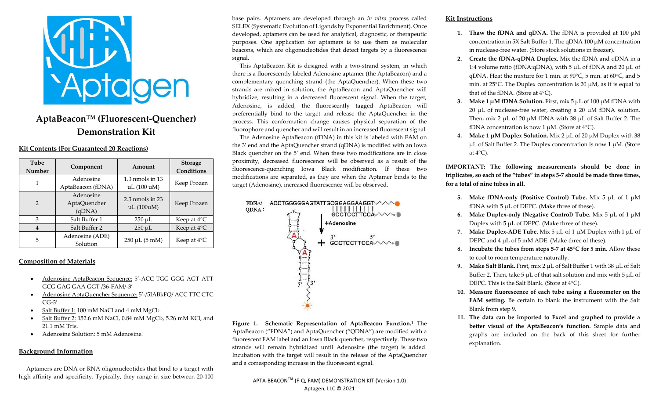

# **AptaBeacon™ (Fluorescent-Quencher) Demonstration Kit**

### **Kit Contents (For Guaranteed 20 Reactions)**

| Tube<br>Number | Component                           | Amount                             | <b>Storage</b><br>Conditions |
|----------------|-------------------------------------|------------------------------------|------------------------------|
|                | Adenosine<br>AptaBeacon (fDNA)      | $1.3$ nmols in $13$<br>uL (100 uM) | Keep Frozen                  |
| $\mathcal{P}$  | Adenosine<br>AptaQuencher<br>(qDNA) | $2.3$ nmols in $23$<br>uL(100uM)   | Keep Frozen                  |
| 3              | Salt Buffer 1                       | $250 \mu L$                        | Keep at $4^{\circ}$ C        |
| 4              | Salt Buffer 2                       | $250 \mu L$                        | Keep at $4^{\circ}C$         |
| 5              | Adenosine (ADE)<br>Solution         | $250 \mu L (5 \text{ mM})$         | Keep at $4^{\circ}$ C        |

## **Composition of Materials**

- Adenosine AptaBeacon Sequence: 5'-ACC TGG GGG AGT ATT GCG GAG GAA GGT /36-FAM/-3'
- Adenosine AptaQuencher Sequence: 5'-/5IABkFQ/ ACC TTC CTC CG-3'
- Salt Buffer 1: 100 mM NaCl and 4 mM MgCl2.
- Salt Buffer 2: 152.6 mM NaCl, 0.84 mM MgCl2, 5.26 mM KCl, and 21.1 mM Tris.
- Adenosine Solution: 5 mM Adenosine.

### **Background Information**

 Aptamers are DNA or RNA oligonucleotides that bind to a target with high affinity and specificity. Typically, they range in size between 20-100

base pairs. Aptamers are developed through an *in vitro* process called SELEX (Systematic Evolution of Ligands by Exponential Enrichment). Once developed, aptamers can be used for analytical, diagnostic, or therapeutic purposes. One application for aptamers is to use them as molecular beacons, which are oligonucleotides that detect targets by a fluorescence signal.

 This AptaBeacon Kit is designed with a two-strand system, in which there is a fluorescently labeled Adenosine aptamer (the AptaBeacon) and a complementary quenching strand (the AptaQuencher). When these two strands are mixed in solution, the AptaBeacon and AptaQuencher will hybridize, resulting in a decreased fluorescent signal. When the target, Adenosine, is added, the fluorescently tagged AptaBeacon will preferentially bind to the target and release the AptaQuencher in the process. This conformation change causes physical separation of the fluorophore and quencher and will result in an increased fluorescent signal.

 The Adenosine AptaBeacon (fDNA) in this kit is labeled with FAM on the 3' end and the AptaQuencher strand (qDNA) is modified with an Iowa Black quencher on the 5' end. When these two modifications are in close proximity, decreased fluorescence will be observed as a result of the fluorescence-quenching Iowa Black modification. If these two modifications are separated, as they are when the Aptamer binds to the target (Adenosine), increased fluorescence will be observed.



**Figure 1. Schematic Representation of AptaBeacon Function.<sup>1</sup>** The AptaBeacon ("FDNA") and AptaQuencher ("QDNA") are modified with a fluorescent FAM label and an Iowa Black quencher, respectively. These two strands will remain hybridized until Adenosine (the target) is added. Incubation with the target will result in the release of the AptaQuencher and a corresponding increase in the fluorescent signal.

#### **Kit Instructions**

- **1. Thaw the fDNA and qDNA.** The fDNA is provided at 100  $\mu$ M concentration in 5X Salt Buffer 1. The qDNA 100  $\mu$ M concentration in nuclease-free water. (Store stock solutions in freezer).
- **2. Create the fDNA-qDNA Duplex.** Mix the fDNA and qDNA in a 1:4 volume ratio (fDNA:qDNA), with 5  $\mu$ L of fDNA and 20  $\mu$ L of qDNA. Heat the mixture for 1 min. at 90°C, 5 min. at 60°C, and 5 min. at 25°C. The Duplex concentration is 20 µM, as it is equal to that of the fDNA. (Store at 4°C).
- **3. Make 1 µM fDNA Solution.** First, mix 5 µL of 100 µM fDNA with 20  $\mu$ L of nuclease-free water, creating a 20  $\mu$ M fDNA solution. Then, mix 2  $\mu$ L of 20  $\mu$ M fDNA with 38  $\mu$ L of Salt Buffer 2. The fDNA concentration is now 1  $\mu$ M. (Store at 4 °C).
- **4. Make 1 µM Duplex Solution.** Mix 2 µL of 20 µM Duplex with 38  $\mu$ L of Salt Buffer 2. The Duplex concentration is now 1  $\mu$ M. (Store at  $4^{\circ}$ C).

**IMPORTANT: The following measurements should be done in triplicates, so each of the "tubes" in steps 5-7 should be made three times, for a total of nine tubes in all.**

- **5. Make fDNA-only (Positive Control) Tube.** Mix 5 µL of 1 µM fDNA with 5 µL of DEPC. (Make three of these).
- **6. Make Duplex-only (Negative Control) Tube.** Mix 5 µL of 1 µM Duplex with  $5 \mu L$  of DEPC. (Make three of these).
- **7. Make Duplex-ADE Tube.** Mix 5 µL of 1 µM Duplex with 1 µL of DEPC and 4 µL of 5 mM ADE. (Make three of these).
- **8. Incubate the tubes from steps 5-7 at 45°C for 5 min.** Allow these to cool to room temperature naturally.
- **9. Make Salt Blank.** First, mix 2 µL of Salt Buffer 1 with 38 µL of Salt Buffer 2. Then, take 5  $\mu$ L of that salt solution and mix with 5  $\mu$ L of DEPC. This is the Salt Blank. (Store at 4°C).
- **10. Measure fluorescence of each tube using a fluorometer on the FAM setting.** Be certain to blank the instrument with the Salt Blank from step 9.
- **11. The data can be imported to Excel and graphed to provide a better visual of the AptaBeacon's function.** Sample data and graphs are included on the back of this sheet for further explanation.